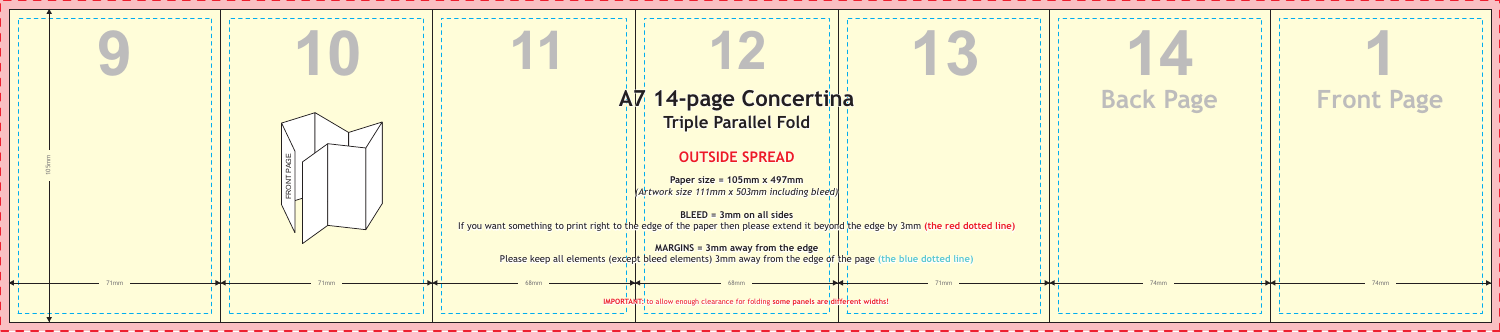